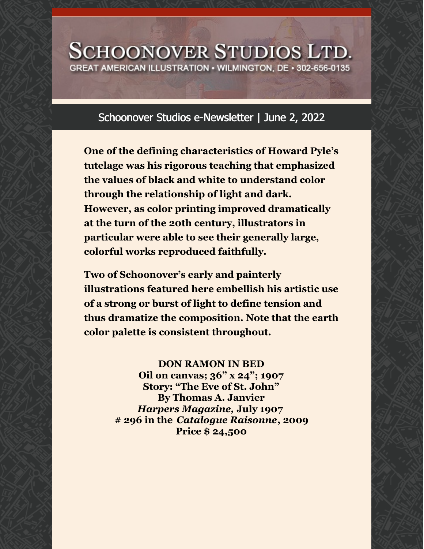## **SCHOONOVER STUDIOS LTD.** GREAT AMERICAN ILLUSTRATION • WILMINGTON, DE • 302-656-0135

## Schoonover Studios e-Newsletter | June 2, 2022

**One of the defining characteristics of Howard Pyle's tutelage was his rigorous teaching that emphasized the values of black and white to understand color through the relationship of light and dark. However, as color printing improved dramatically at the turn of the 20th century, illustrators in particular were able to see their generally large, colorful works reproduced faithfully.**

**Two of Schoonover's early and painterly illustrations featured here embellish his artistic use of a strong or burst of light to define tension and thus dramatize the composition. Note that the earth color palette is consistent throughout.**

## **DON RAMON IN BED**

**Oil on canvas; 36" x 24"; 1907 Story: "The Eve of St. John" By Thomas A. Janvier** *Harpers Magazine,* **July 1907 # 296 in the** *Catalogue Raisonne***, 2009 Price \$ 24,500**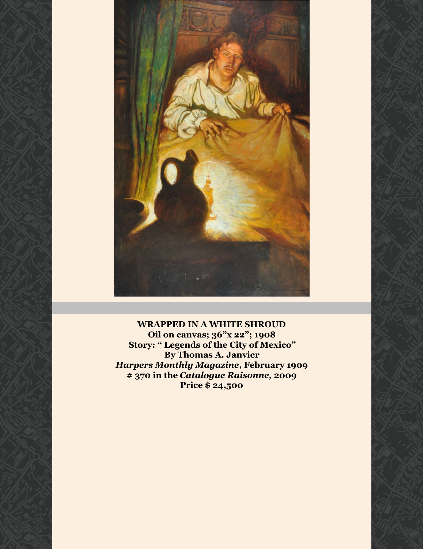

**WRAPPED IN A WHITE SHROUD Oil on canvas; 36"x 22"; 1908 Story: " Legends of the City of Mexico" By Thomas A. Janvier** *Harpers Monthly Magazine***, February 1909 # 370 in the** *Catalogue Raisonne,* **2009 Price \$ 24,500**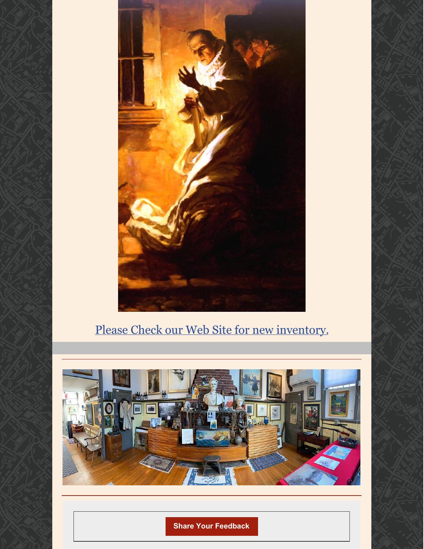

## Please Check our Web Site for new [inventory.](https://schoonoverstudios.com/)



**Share Your [Feedback](mailto:studios@dca.net,dave@uddergenius.com)**